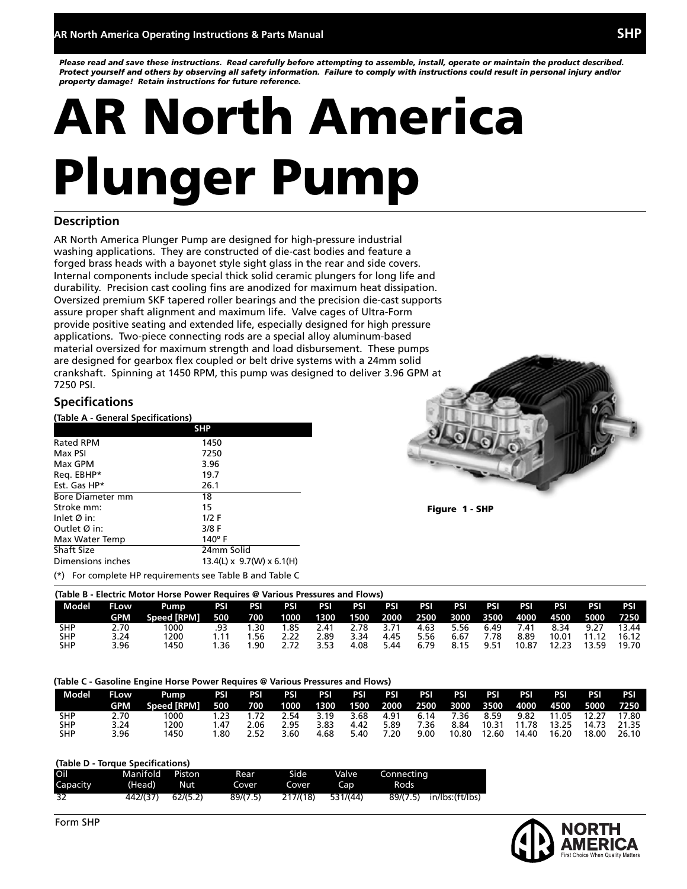*Please read and save these instructions. Read carefully before attempting to assemble, install, operate or maintain the product described. Protect yourself and others by observing all safety information. Failure to comply with instructions could result in personal injury and/or property damage! Retain instructions for future reference.*

# AR North America Plunger Pump

#### **Description**

AR North America Plunger Pump are designed for high-pressure industrial washing applications. They are constructed of die-cast bodies and feature a forged brass heads with a bayonet style sight glass in the rear and side covers. Internal components include special thick solid ceramic plungers for long life and durability. Precision cast cooling fins are anodized for maximum heat dissipation. Oversized premium SKF tapered roller bearings and the precision die-cast supports assure proper shaft alignment and maximum life. Valve cages of Ultra-Form provide positive seating and extended life, especially designed for high pressure applications. Two-piece connecting rods are a special alloy aluminum-based material oversized for maximum strength and load disbursement. These pumps are designed for gearbox flex coupled or belt drive systems with a 24mm solid crankshaft. Spinning at 1450 RPM, this pump was designed to deliver 3.96 GPM at 7250 PSI.

#### **Specifications**

**(Table A - General Specifications)**

|                                                          | <b>SHP</b>                            |
|----------------------------------------------------------|---------------------------------------|
| <b>Rated RPM</b>                                         | 1450                                  |
| Max PSI                                                  | 7250                                  |
| Max GPM                                                  | 3.96                                  |
| Req. EBHP*                                               | 19.7                                  |
| Est. Gas HP*                                             | 26.1                                  |
| <b>Bore Diameter mm</b>                                  | 18                                    |
| Stroke mm:                                               | 15                                    |
| Inlet $\emptyset$ in:                                    | $1/2$ F                               |
| Outlet $\emptyset$ in:                                   | 3/8 F                                 |
| Max Water Temp                                           | $140^\circ$ F                         |
| <b>Shaft Size</b>                                        | 24mm Solid                            |
| Dimensions inches                                        | $13.4(L) \times 9.7(W) \times 6.1(H)$ |
| (*) For complete HP requirements see Table B and Table C |                                       |



Figure 1 - SHP

|            |             | (Table B - Electric Motor Horse Power Requires @ Various Pressures and Flows) |            |     |      |      |      |            |                     |            |      |       |           |       |       |
|------------|-------------|-------------------------------------------------------------------------------|------------|-----|------|------|------|------------|---------------------|------------|------|-------|-----------|-------|-------|
| Model      | <b>FLow</b> | Pump                                                                          | PSI        | PSI | PSI  | PSI  | PSI  | <b>PSI</b> | PSI                 | <b>PSI</b> | PSI  | PSI   | PSI       | PSI   | PSI   |
|            | GPM         | <b>Speed IRPMI</b>                                                            | <b>500</b> | 700 | 1000 | 1300 |      | 1500 2000  | 2500 3000 3500 4000 |            |      |       | 4500 5000 |       | 7250. |
| SHP        | 2.70        | 1000                                                                          | .93        | -30 | .85  | 2.41 | 2.78 | 3.71       | 4.63                | 5.56       | 6.49 | 7.41  | 8.34      | 9.27  | 13.44 |
| <b>SHP</b> | 3.24        | 1200                                                                          |            | .56 | 2.22 | 2.89 | 3.34 | 4.45       | 5.56                | 6.67       | 7.78 | 8.89  | 10.01     | 11.12 | 16.12 |
| SHP        | 3.96        | 1450                                                                          | 1.36       | .90 |      | 3.53 | 4.08 | 5.44       | 6.79                | 8.15       | 9.51 | 10.87 | 12.23     | 13.59 | 19.70 |

**(Table C - Gasoline Engine Horse Power Requires @ Various Pressures and Flows)**

| Model      | FLow | Pump PSI PSI PSI      |      |      |      |                                                                  |      |      | PSI PSI PSI PSI PSI PSI PSI |       |       | PSI   | PSI         | PSL   | PSI   |
|------------|------|-----------------------|------|------|------|------------------------------------------------------------------|------|------|-----------------------------|-------|-------|-------|-------------|-------|-------|
|            | GPM  | Speed [RPM] 500 700 5 |      |      |      | 1000  1300  1500  2000  2500  3000  3500  4000  4500  5000  7250 |      |      |                             |       |       |       |             |       |       |
| <b>SHP</b> | 2.70 | 1000                  | 1.23 | 1.72 | 2.54 | 3.19                                                             | 3.68 | 4.91 | 6.14                        | 7.36  | 8.59  | 9.82  | 11.05 12.27 |       | 17.80 |
| <b>SHP</b> | 3.24 | 1200                  | 1.47 | 2.06 | 2.95 | 3.83                                                             | 4.42 | 5.89 | 7.36                        | 8.84  | 10.31 | 11.78 |             |       |       |
| <b>SHP</b> | 3.96 | 1450                  | 1.80 | 2.52 | 3.60 | 4.68                                                             | 5.40 | 7.20 | 9.00                        | 10.80 | 12.60 | 14.40 | 16.20       | 18.00 | 26.10 |

#### **(Table D - Torque Specifications)**

| Oil      | Manifold Piston   |     | Rear     | Side l   | <b>Valve</b>     | Connectina |                          |
|----------|-------------------|-----|----------|----------|------------------|------------|--------------------------|
| Capacity | (Head)            | Nut | Cover    | Cover    | Cap <sup>1</sup> | Rods       |                          |
| 32       | 442/(37) 62/(5.2) |     | 89/(7.5) | 217/(18) | 531/(44)         |            | 89/(7.5) in/lbs:(ft/lbs) |

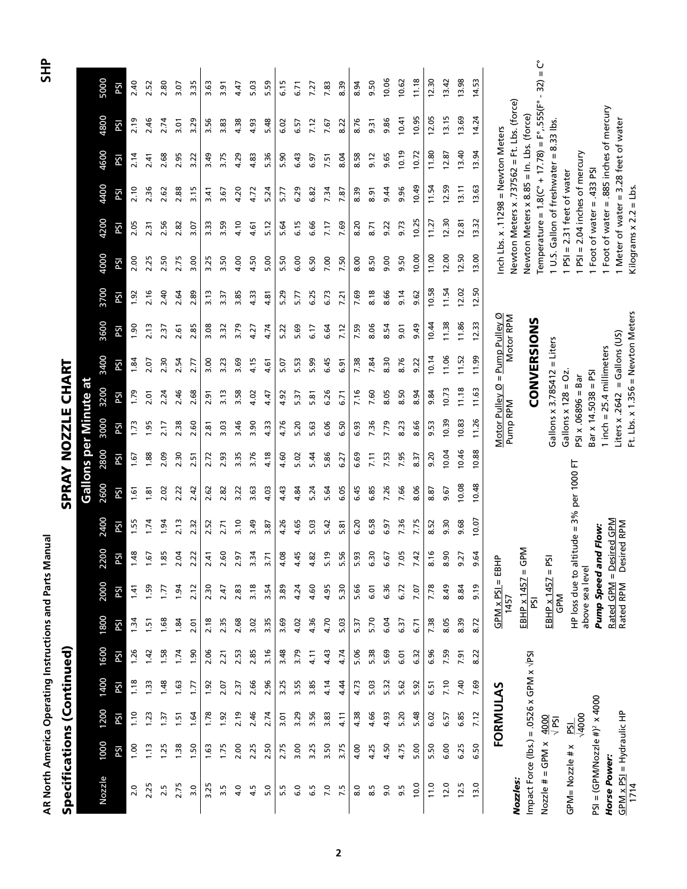| lannal | 오<br>도             |
|--------|--------------------|
|        | SPRAY NOZZLE CHART |

|   | ı |
|---|---|
|   |   |
|   |   |
|   |   |
|   |   |
|   |   |
|   |   |
|   |   |
|   |   |
|   |   |
|   |   |
|   |   |
|   |   |
|   |   |
|   |   |
|   | ì |
|   |   |
|   |   |
|   |   |
|   |   |
|   |   |
|   |   |
|   |   |
|   |   |
| ī |   |
|   |   |

# SPRAY NOZZLE CHART Specifications (Continued) SPRAY NOZZLE CHART

|                                                                 |      |                 |      |             |             |                          |                                        |          |                            |       |                | <b>Gallons per Minute at</b>                            |                                    |           |       |       |                           |                                                            |       |                                            |                                                                                                    |
|-----------------------------------------------------------------|------|-----------------|------|-------------|-------------|--------------------------|----------------------------------------|----------|----------------------------|-------|----------------|---------------------------------------------------------|------------------------------------|-----------|-------|-------|---------------------------|------------------------------------------------------------|-------|--------------------------------------------|----------------------------------------------------------------------------------------------------|
| Nozzle                                                          | 1000 | 1200            | 1400 | 1600        | 1800        | 2000                     | 2200                                   | 2400     | 2600                       | 2800  | 3000           | 3200                                                    | 3400                               | 3600      | 3700  | 4000  | 4200                      | 4400                                                       | 4600  | 4800                                       | 5000                                                                                               |
|                                                                 | PSI  | ΡSΙ             | PSI  | PSI         | ΡSΙ         | PSI                      | PSI                                    | ΡSΙ      | δd                         | ΡSΙ   | PSI            | PSI                                                     | PSI                                | PSI       | PSI   | PSI   | ΡSΙ                       | PSI                                                        | ΡSΙ   | PSI                                        | PSI                                                                                                |
| 2.0                                                             | 00.1 | 1.10            | 1.18 | 1.26        | 1.34        | 1.41                     | 1.48                                   | 1.55     | 1.61                       | 1.67  | 1.73           | 1.79                                                    | 1.84                               | 06.1      | 1.92  | 2.00  | 2.05                      | 2.10                                                       | 2.14  | 2.19                                       | 2.40                                                                                               |
| 2.25                                                            | 1.13 | 1.23            | 1.33 | 1.42        | 1.51        | 1.59                     | 1.67                                   | 1.74     | 1.81                       | 1.88  | 1.95           | 2.01                                                    | 2.07                               | 2.13      | 2.16  | 2.25  | 2.31                      | 2.36                                                       | 2.41  | 2.46                                       | 2.52                                                                                               |
| 2.5                                                             | 1.25 | 1.37            | 1.48 | 1.58        | 1.68        | 1.77                     | 1.85                                   | 1.94     | 2.02                       | 2.09  | 2.17           | 2.24                                                    | 2.30                               | 2.37      | 2.40  | 2.50  | 2.56                      | 2.62                                                       | 2.68  | 2.74                                       | 2.80                                                                                               |
| 2.75                                                            | 1.38 | 1.51            | 1.63 | 1.74        | 1.84        | 1.94                     | 2.04                                   | 2.13     | 2.22                       | 2.30  | 2.38           | 2.46                                                    | 2.54                               | 2.61      | 2.64  | 2.75  | 2.82                      | 2.88                                                       | 2.95  | 3.01                                       | 3.07                                                                                               |
| 3.0                                                             | 1.50 | 1.64            | 1.77 | 0.90        | <b>2.01</b> | 2.12                     | $\overline{2}$<br>$\sim$               | 2.32     | 2.42                       | 2.51  | 2.60           | 2.68                                                    | 2.77                               | 2.85      | 2.89  | 3.00  | 3.07                      | 3.15                                                       | 3.22  | 3.29                                       | 3.35                                                                                               |
| 3.25                                                            | 1.63 | 1.78            | 1.92 | 2.06        | 2.18        | 2.30                     | 2.41                                   | 2.52     | 2.62                       | 2.72  | 2.81           | 2.91                                                    | 3.00                               | 3.08      | 3.13  | 3.25  | 3.33                      | 3.41                                                       | 3.49  | 3.56                                       | 3.63                                                                                               |
| 3.5                                                             | 1.75 | 1.92            | 2.07 | 2.21        | 2.35        | 2.47                     | 2.60                                   | 2.71     | 2.82                       | 2.93  | 3.03           | $\frac{3}{13}$                                          | 3.23                               | 3.32      | 3.37  | 3.50  | 3.59                      | 3.67                                                       | 3.75  | 3.83                                       | 3.91                                                                                               |
| 4.0                                                             | 2.00 | 2.19            | 2.37 | 2.53        | 2.68        | 2.83                     | 2.97                                   | 3.10     | 3.22                       | 3.35  | 3.46           | 3.58                                                    | 3.69                               | 3.79      | 3.85  | 4.00  | 4.10                      | 4.20                                                       | 4.29  | 4.38                                       | 4.47                                                                                               |
| 4.5                                                             | 2.25 | 2.46            | 2.66 | 2.85        | 3.02        | 3.18                     | 3.34                                   | 3.49     | 3.63                       | 3.76  | 3.90           | 4.02                                                    | 4.15                               | 4.27      | 4.33  | 4.50  | 4.61                      | 4.72                                                       | 4.83  | 4.93                                       | 5.03                                                                                               |
| 5.0                                                             | 2.50 | 2.74            | 2.96 | 3.16        | 3.35        | 3.54                     | 3.71                                   | 3.87     | 4.03                       | 4.18  | 4.33           | 4.47                                                    | 4.61                               | 4.74      | 4.81  | 5.00  | 5.12                      | 5.24                                                       | 5.36  | 5.48                                       | 5.59                                                                                               |
| 5.5                                                             | 2.75 | 3.01            | 3.25 | 3.48        | 3.69        | 3.89                     | 4.08                                   | 4.26     | 4.43                       | 4.60  | 4.76           | 4.92                                                    | 5.07                               | 5.22      | 5.29  | 5.50  | 5.64                      | 5.77                                                       | 5.90  | 6.02                                       | 6.15                                                                                               |
| 6.0                                                             | 3.00 | 3.29            | 3.55 | 3.79        | 4.02        | 4.24                     | 4.45                                   | 4.65     | 4.84                       | 5.02  | 5.20           | 5.37                                                    | 5.53                               | 5.69      | 5.77  | 6.00  | 6.15                      | 6.29                                                       | 6.43  | 6.57                                       | 6.71                                                                                               |
| 5.9                                                             | 3.25 | 3.56            | 3.85 | 4.11        | 4.36        | 4.60                     | 4.82                                   | 5.03     | 5.24                       | 5.44  | 5.63           | 5.81                                                    | 5.99                               | 6.17      | 6.25  | 6.50  | 6.66                      | 6.82                                                       | 6.97  | 7.12                                       | 7.27                                                                                               |
| 7.0                                                             | 3.50 | 3.83            | 4.14 | 4.43        | 4.70        | 4.95                     | ٥Ļ<br>Ln'                              | 5.42     | 5.64                       | 5.86  | 6.06           | 6.26                                                    | 6.45                               | 6.64      | 6.73  | 7.00  | 7.17                      | 7.34                                                       | 7.51  | 7.67                                       | 7.83                                                                                               |
| 7.5                                                             | 3.75 | 4.11            | 4.44 | 4.74        | 5.03        | 5.30                     | 56<br>μή                               | 5.81     | 6.05                       | 6.27  | 6.50           | 6.71                                                    | 6.91                               | 7.12      | 7.21  | 7.50  | 7.69                      | 7.87                                                       | 8.04  | 8.22                                       | 8.39                                                                                               |
| $_{\rm 8.0}$                                                    | 4.00 | 4.38            | 4.73 | 5.06        | 5.37        | 5.66                     | 93<br>Ln'                              | 6.20     | 6.45                       | 6.69  | 6.93           | 7.16                                                    | 7.38                               | 7.59      | 7.69  | 8.00  | 8.20                      | 8.39                                                       | 8.58  | 8.76                                       | 8.94                                                                                               |
| 8.5                                                             | 4.25 | 4.66            | 5.03 | 5.38        | 5.70        | 6.01                     | 50<br>نما                              | 6.58     | 6.85                       | 7.11  | 7.36           | 7.60                                                    | 7.84                               | 8.06      | 8.18  | 8.50  | 8.71                      | 8.91                                                       | 9.12  | 9.31                                       | 9.50                                                                                               |
| 9.0                                                             | 4.50 | 4.93            | 5.32 | 5.69        | 6.04        | 6.36                     | 57<br>ن                                | 6.97     | 7.26                       | 7.53  | 7.79           | 8.05                                                    | 8.30                               | 8.54      | 8.66  | 9.00  | 9.22                      | 9.44                                                       | 9.65  | 9.86                                       | 10.06                                                                                              |
| 9.5                                                             | 4.75 | 5.20            | 5.62 | <b>6.01</b> | 6.37        | 6.72                     | 7.05                                   | 7.36     | 7.66                       | 7.95  | 8.23           | 8.50                                                    | 8.76                               | 0.01      | 9.14  | 9.50  | 9.73                      | 9.96                                                       | 10.19 | 10.41                                      | 10.62                                                                                              |
| 10.0                                                            | 5.00 | 5.48            | 5.92 | 6.32        | 6.71        | 7.07                     | 7.42                                   | 7.75     | 8.06                       | 8.37  | 8.66           | 8.94                                                    | 9.22                               | 9.49      | 9.62  | 10.00 | 10.25                     | 10.49                                                      | 10.72 | 10.95                                      | 11.18                                                                                              |
| 11.0                                                            | 5.50 | 6.02            | 6.51 | 6.96        | 7.38        | 7.78                     | $\frac{6}{2}$<br>∞                     | 8.52     | 8.87                       | 9.20  | 9.53           | 9.84                                                    | 10.14                              | 10.44     | 10.58 | 11.00 | 11.27                     | 11.54                                                      | 11.80 | 12.05                                      | 12.30                                                                                              |
| 12.0                                                            | 6.00 | 6.57            | 7.10 | 7.59        | 8.05        | 8.49                     | $\mathsf{S}$<br>∞                      | 9.30     | 9.67                       | 10.04 | 10.39          | 10.73                                                   | 11.06                              | 11.38     | 11.54 | 12.00 | 12.30                     | 12.59                                                      | 12.87 | 13.15                                      | 13.42                                                                                              |
| 12.5                                                            | 6.25 | 6.85            | 7.40 | 7.91        | 8.39        | 8.84                     | 27<br>ഐ                                | 9.68     | 10.08                      | 10.46 | 10.83          | 11.18                                                   | 11.52                              | 11.86     | 12.02 | 12.50 | 12.81                     | 13.11                                                      | 13.40 | 13.69                                      | 13.98                                                                                              |
| 13.0                                                            | 6.50 | 7.12            | 7.69 | 8.22        | 8.72        | 9.19                     | S,<br>ഐ                                | 10.07    | 10.48                      | 10.88 | 11.26          | 11.63                                                   | 11.99                              | 12.33     | 12.50 | 13.00 | 13.32                     | 13.63                                                      | 13.94 | 14.24                                      | 14.53                                                                                              |
|                                                                 |      | <b>FORMULAS</b> |      |             |             | $GPM \times PSI = EBHP$  |                                        |          |                            |       |                |                                                         | Motor Pulley $Q =$ Pump Pulley $Q$ |           |       |       |                           | Inch Lbs. x.11298 = Newton Meters                          |       |                                            |                                                                                                    |
| Nozzles:                                                        |      |                 |      |             |             | 1457                     |                                        |          |                            |       | Pump RPM       |                                                         |                                    | Motor RPM |       |       |                           |                                                            |       | Newton Meters x .737562 = Ft. Lbs. (force) |                                                                                                    |
| Impact Force (Ibs.) = $.0526 \times$ GPM $\times$ $\sqrt{PS}$ I |      |                 |      |             |             | <b>EBHP x 1457</b><br>Σą | $M$ d<br>D $=$                         |          |                            |       |                |                                                         | <b>CONVERSIONS</b>                 |           |       |       |                           | Newton Meters x 8.85 = In. Lbs. (force)                    |       |                                            |                                                                                                    |
| $Nozzle # = GPM x$                                              |      | 4000            |      |             |             |                          |                                        |          |                            |       |                |                                                         |                                    |           |       |       |                           |                                                            |       |                                            | Temperature = $1.8$ ( $C^{\circ}$ + $17.78$ ) = $F^{\circ}$ , 555( $F^{\circ}$ - 32) = $C^{\circ}$ |
|                                                                 |      | $\frac{1}{2}$   |      |             |             | EBHP x 1457<br>GPM       | $PST =$                                |          |                            |       |                |                                                         | Gallons x 3.785412 = Liters        |           |       |       |                           | 1 U.S. Gallon of freshwater = 8.33 lbs.                    |       |                                            |                                                                                                    |
| GPM=Nozzle # x                                                  |      | Σq              |      |             |             | HP loss due to al        |                                        |          | titude = $3\%$ per 1000 FT |       |                | Gallons x $128 = 0z$ .                                  |                                    |           |       |       |                           | $1$ PSI = 2.31 feet of water                               |       |                                            |                                                                                                    |
|                                                                 |      | 4000            |      |             |             | above sea level          |                                        |          |                            |       |                | $Bar \times 14.5038 = PSI$<br>$PSI \times .06896 = Bar$ |                                    |           |       |       |                           | $PSI = 2.04$ inches of mercury<br>Foot of water = .433 PSI |       |                                            |                                                                                                    |
| $PSI = (GPMNnozz e #)2 × 4000$<br>Horse Power:                  |      |                 |      |             |             | Pump Speed an            |                                        | id Flow: |                            |       |                | 1 inch $= 25.4$ millimeters                             |                                    |           |       |       |                           | Foot of water = .885 inches of mercury                     |       |                                            |                                                                                                    |
| GPM x PSI = Hydraulic HP                                        |      |                 |      |             |             | Rated RPM                | Rated GPM = Desired GPM<br>Desired RPM |          |                            |       | Liters x .2642 |                                                         | $=$ Gallons (US)                   |           |       |       |                           | 1 Meter of water = 3.28 feet of water                      |       |                                            |                                                                                                    |
| 1714                                                            |      |                 |      |             |             |                          |                                        |          |                            |       |                |                                                         | Ft. Lbs. x 1.356 = Newton Meters   |           |       |       | Kilograms $x 2.2 = Lbs$ . |                                                            |       |                                            |                                                                                                    |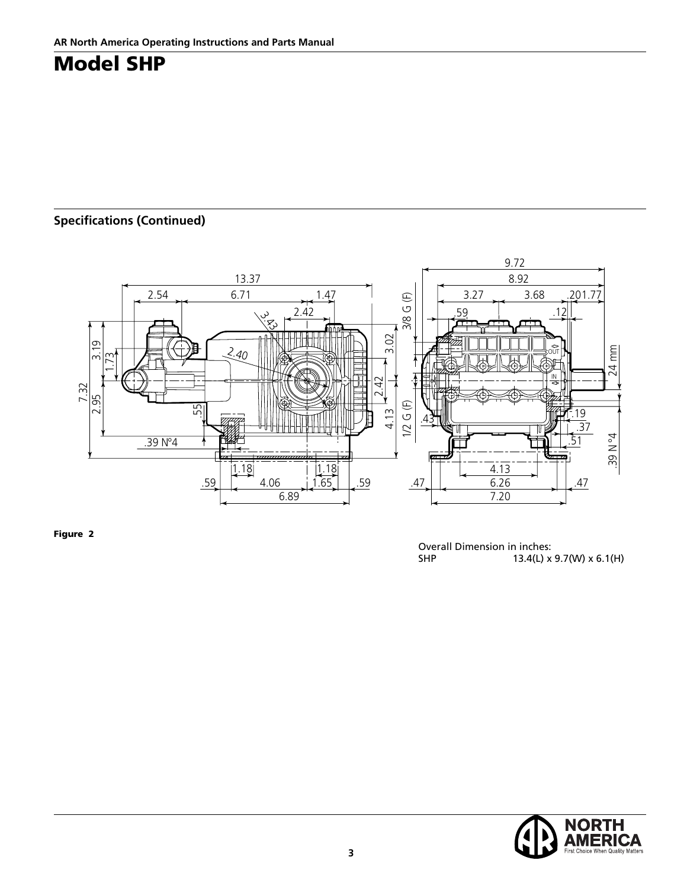## **Specifications (Continued)**



Solid shaft pump ø 24 mm

Figure 2

Overall Dimension in inches:<br>SHP 13.4(L) x 13.4(L) x 9.7(W) x 6.1(H)

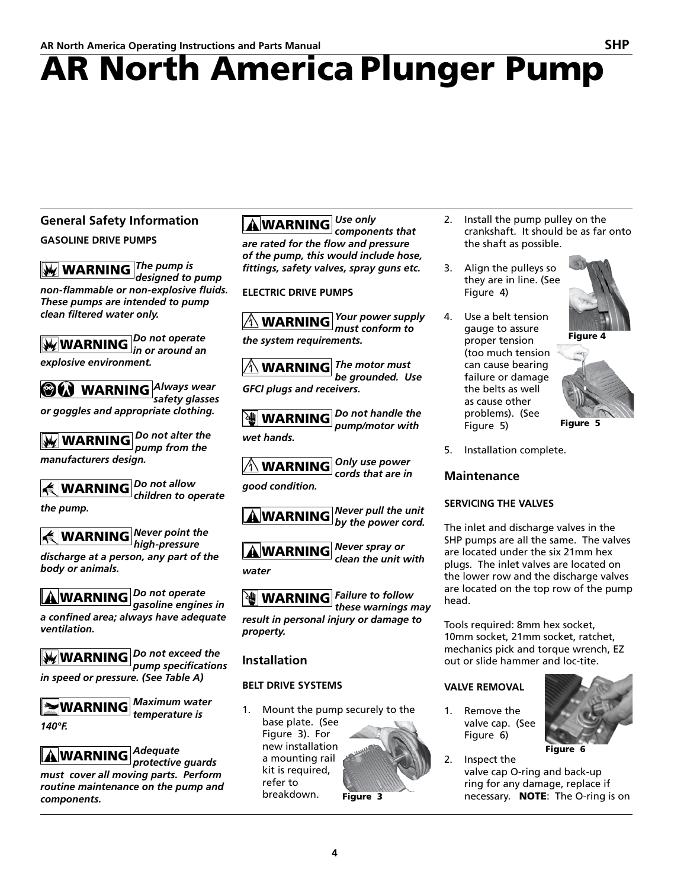## AR North America Plunger Pump

#### **General Safety Information GASOLINE DRIVE PUMPS**

WARNING *The pump is designed to pump non-flammable or non-explosive fluids. These pumps are intended to pump clean filtered water only.* 

WARNING *Do not operate in or around an explosive environment.* 

WARNING *Always wear safety glasses or goggles and appropriate clothing.*

WARNING *Do not alter the pump from the manufacturers design.*

WARNING *Do not allow children to operate the pump.*

WARNING *Never point the high-pressure discharge at a person, any part of the body or animals.* 

WARNING *Do not operate gasoline engines in a confined area; always have adequate ventilation.*

WARNING *Do not exceed the pump specifications in speed or pressure. (See Table A)*

**MARNING** *Maximum water temperature is* 

*140°F.*

WARNING *Adequate* 

*protective guards must cover all moving parts. Perform routine maintenance on the pump and components.*

WARNING *Use only components that are rated for the flow and pressure of the pump, this would include hose, fittings, safety valves, spray guns etc.*

**ELECTRIC DRIVE PUMPS**

WARNING *Your power supply must conform to the system requirements.*

WARNING *The motor must be grounded. Use GFCI plugs and receivers.*

WARNING *Do not handle the pump/motor with wet hands.*

WARNING *Only use power cords that are in* 

*good condition.*



WARNING *Never spray or clean the unit with water*

WARNING *Failure to follow these warnings may result in personal injury or damage to property.*

#### **Installation**

#### **BELT DRIVE SYSTEMS**

Mount the pump securely to the base plate. (See Figure 3). For new installation a mounting rail kit is required, refer to breakdown.

Figure 3

- 2. Install the pump pulley on the crankshaft. It should be as far onto the shaft as possible.
- 3. Align the pulleys so they are in line. (See Figure 4)
- 4. Use a belt tension gauge to assure proper tension (too much tension can cause bearing failure or damage the belts as well as cause other problems). (See Figure 5)





Figure 5

5. Installation complete.

#### **Maintenance**

#### **SERVICING THE VALVES**

The inlet and discharge valves in the SHP pumps are all the same. The valves are located under the six 21mm hex plugs. The inlet valves are located on the lower row and the discharge valves are located on the top row of the pump head.

Tools required: 8mm hex socket, 10mm socket, 21mm socket, ratchet, mechanics pick and torque wrench, EZ out or slide hammer and loc-tite.

#### **VALVE REMOVAL**

1. Remove the valve cap. (See Figure 6)



2. Inspect the valve cap O-ring and back-up

ring for any damage, replace if necessary. **NOTE:** The O-ring is on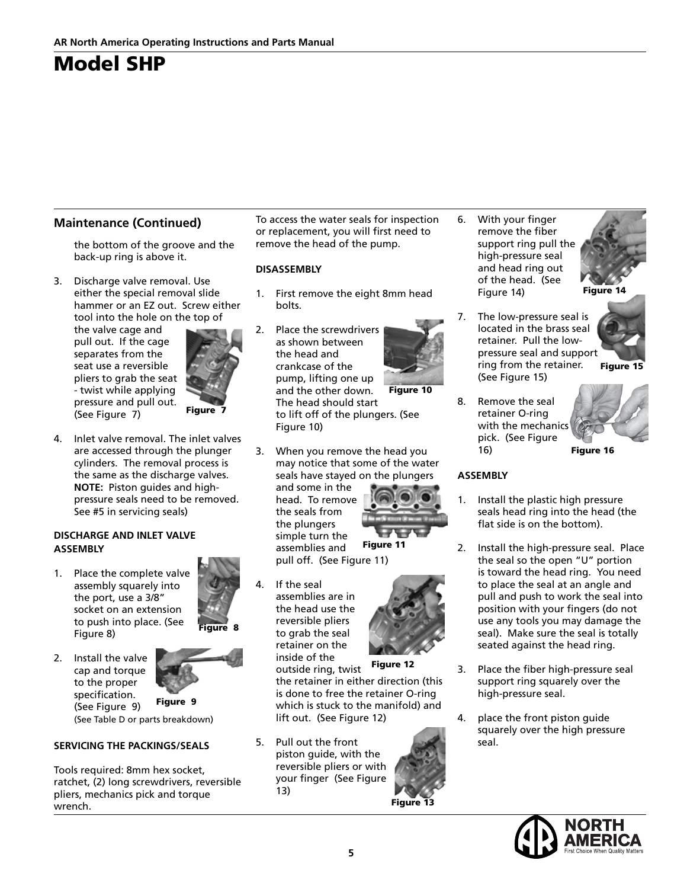#### **Maintenance (Continued)**

the bottom of the groove and the back-up ring is above it.

3. Discharge valve removal. Use either the special removal slide hammer or an EZ out. Screw either tool into the hole on the top of

the valve cage and pull out. If the cage separates from the seat use a reversible pliers to grab the seat - twist while applying pressure and pull out. (See Figure 7)



4. Inlet valve removal. The inlet valves are accessed through the plunger cylinders. The removal process is the same as the discharge valves. **NOTE:** Piston guides and highpressure seals need to be removed. See #5 in servicing seals)

#### **DISCHARGE AND INLET VALVE ASSEMBLY**

1. Place the complete valve assembly squarely into the port, use a 3/8" socket on an extension to push into place. (See Figure 8)



Figure 8

2. Install the valve cap and torque to the proper specification.

(See Figure 9) (See Table D or parts breakdown) Figure 9

#### **SERVICING THE PACKINGS/SEALS**

Tools required: 8mm hex socket, ratchet, (2) long screwdrivers, reversible pliers, mechanics pick and torque wrench.

To access the water seals for inspection or replacement, you will first need to remove the head of the pump.

#### **DISASSEMBLY**

- 1. First remove the eight 8mm head bolts.
- 2. Place the screwdrivers as shown between the head and crankcase of the pump, lifting one up and the other down. The head should start to lift off of the plungers. (See Figure 10) Figure 10
- 3. When you remove the head you may notice that some of the water seals have stayed on the plungers and some in the head. To remove

the seals from the plungers simple turn the Figure 11

pull off. (See Figure 11)

4. If the seal reversible pliers to grab the seal retainer on the inside of the



Figure 12

outside ring, twist the retainer in either direction (this is done to free the retainer O-ring which is stuck to the manifold) and lift out. (See Figure 12)

5. Pull out the front piston guide, with the reversible pliers or with your finger (See Figure 13)



6. With your finger remove the fiber support ring pull the high-pressure seal and head ring out of the head. (See Figure 14)



Figure 14

- 7. The low-pressure seal is located in the brass seal retainer. Pull the lowpressure seal and support ring from the retainer. (See Figure 15) **Figure 15**
- 8. Remove the seal retainer O-ring with the mechanics pick. (See Figure 16)



#### **ASSEMBLY**

- 1. Install the plastic high pressure seals head ring into the head (the flat side is on the bottom).
- 2. Install the high-pressure seal. Place the seal so the open "U" portion is toward the head ring. You need to place the seal at an angle and pull and push to work the seal into position with your fingers (do not use any tools you may damage the seal). Make sure the seal is totally seated against the head ring.
- 3. Place the fiber high-pressure seal support ring squarely over the high-pressure seal.
- 4. place the front piston guide squarely over the high pressure seal.



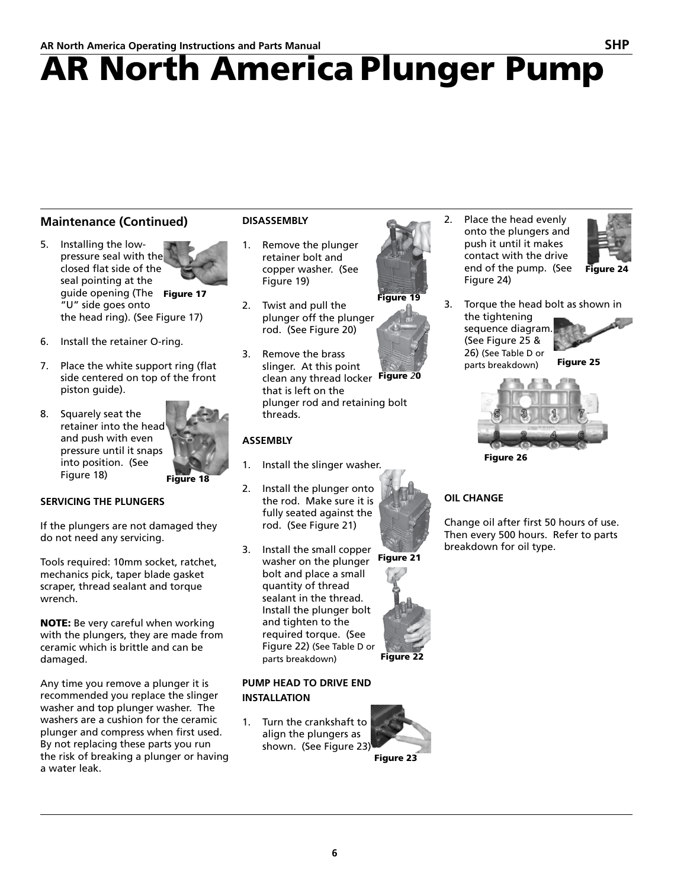# AR North America Plunger Pump

#### **Maintenance (Continued)**

- 5. Installing the lowpressure seal with the closed flat side of the seal pointing at the guide opening (The Figure 17 "U" side goes onto the head ring). (See Figure 17)
- 6. Install the retainer O-ring.
- 7. Place the white support ring (flat side centered on top of the front piston guide).
- 8. Squarely seat the retainer into the head and push with even pressure until it snaps into position. (See Figure 18)

Figure 18

#### **SERVICING THE PLUNGERS**

If the plungers are not damaged they do not need any servicing.

Tools required: 10mm socket, ratchet, mechanics pick, taper blade gasket scraper, thread sealant and torque wrench.

NOTE: Be very careful when working with the plungers, they are made from ceramic which is brittle and can be damaged.

Any time you remove a plunger it is recommended you replace the slinger washer and top plunger washer. The washers are a cushion for the ceramic plunger and compress when first used. By not replacing these parts you run the risk of breaking a plunger or having a water leak.

#### **DISASSEMBLY**

- 1. Remove the plunger retainer bolt and copper washer. (See Figure 19)
- 2. Twist and pull the plunger off the plunger rod. (See Figure 20)
- 3. Remove the brass slinger. At this point clean any thread locker Figure *2*0 that is left on the plunger rod and retaining bolt threads.

#### **ASSEMBLY**

- 1. Install the slinger washer.
- 2. Install the plunger onto the rod. Make sure it is fully seated against the rod. (See Figure 21)
- 3. Install the small copper washer on the plunger Figure 21 bolt and place a small quantity of thread sealant in the thread. Install the plunger bolt and tighten to the required torque. (See Figure 22) (See Table D or parts breakdown)

#### **PUMP HEAD TO DRIVE END INSTALLATION**

1. Turn the crankshaft to align the plungers as shown. (See Figure 23)



2. Place the head evenly onto the plungers and push it until it makes contact with the drive end of the pump. (See Figure 24)



3. Torque the head bolt as shown in the tightening sequence diagram. (See Figure 25 & 26) (See Table D or parts breakdown) Figure 25



Figure 26

#### **OIL CHANGE**

Change oil after first 50 hours of use. Then every 500 hours. Refer to parts breakdown for oil type.









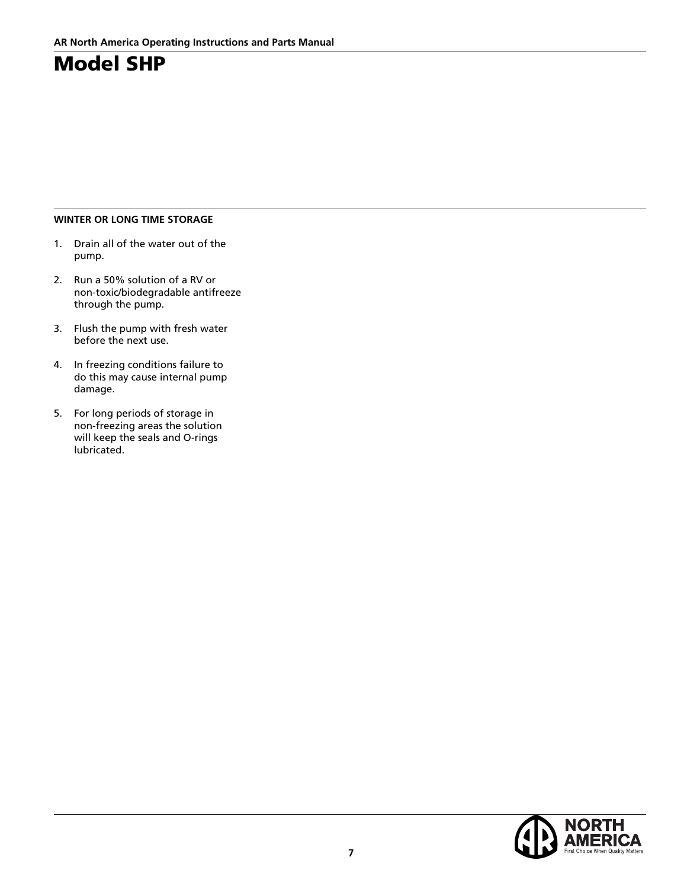#### **WINTER OR LONG TIME STORAGE**

- 1. Drain all of the water out of the pump.
- 2. Run a 50% solution of a RV or non-toxic/biodegradable antifreeze through the pump.
- 3. Flush the pump with fresh water before the next use.
- 4. In freezing conditions failure to do this may cause internal pump damage.
- 5. For long periods of storage in non-freezing areas the solution will keep the seals and O-rings lubricated.

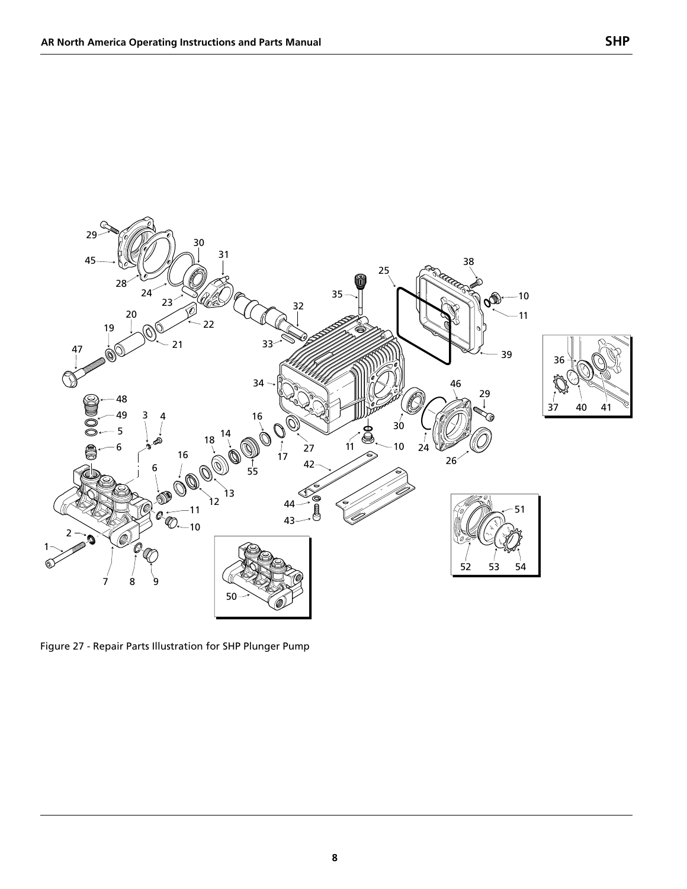

Figure 27 - Repair Parts Illustration for SHP Plunger Pump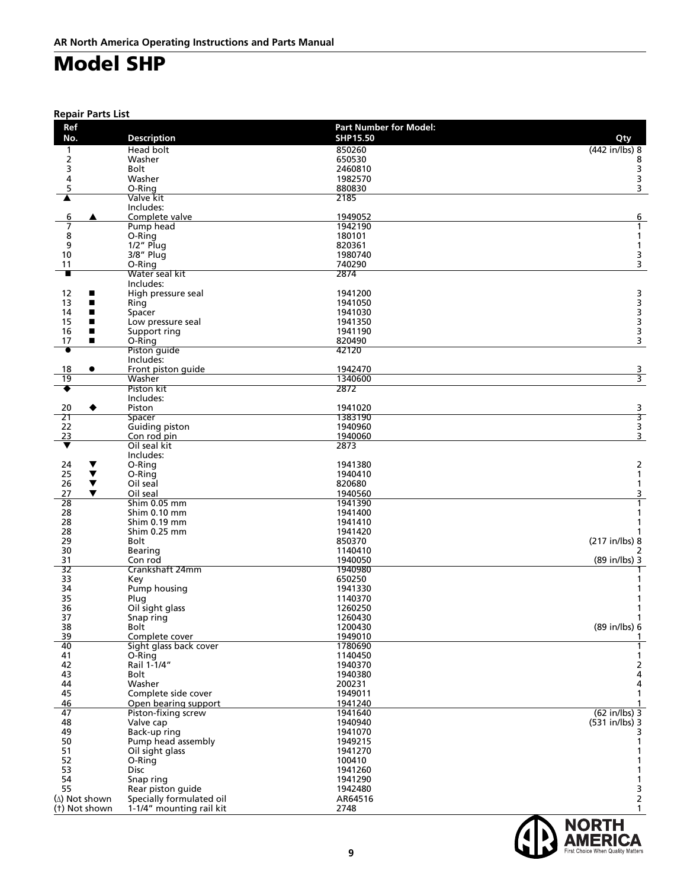**Repair Parts List**

| Ref                        |                                  | <b>Part Number for Model:</b> |                         |
|----------------------------|----------------------------------|-------------------------------|-------------------------|
| No.                        | <b>Description</b>               | SHP15.50                      | Qty                     |
| 1                          | Head bolt                        | 850260                        | (442 in/lbs) 8          |
| $\mathbf{2}$               | Washer                           | 650530                        | 8                       |
| 3                          | <b>Bolt</b>                      | 2460810                       | 3                       |
| 4<br>5                     | Washer<br>O-Ring                 | 1982570<br>880830             | з<br>3                  |
| ▲                          | Valve kit                        | 2185                          |                         |
|                            | Includes:                        |                               |                         |
| 6<br>▲                     | Complete valve                   | 1949052                       | 6                       |
| 7                          | Pump head                        | 1942190                       | $\mathbf{1}$            |
| 8                          | O-Ring                           | 180101                        | $\mathbf{1}$            |
| 9                          | $1/2$ " Plua                     | 820361                        | $\mathbf{1}$            |
| 10                         | 3/8" Plug                        | 1980740                       | 3                       |
| 11                         | O-Ring                           | 740290                        | 3                       |
| п                          | Water seal kit                   | 2874                          |                         |
|                            | Includes:                        | 1941200                       |                         |
| 12<br>п<br>13<br>■         | High pressure seal               | 1941050                       |                         |
| 14<br>■                    | Ring<br>Spacer                   | 1941030                       |                         |
| 15<br>п                    | Low pressure seal                | 1941350                       |                         |
| 16<br>■                    | Support ring                     | 1941190                       |                         |
| 17<br>П                    | O-Ring                           | 820490                        | 3                       |
| $\overline{\bullet}$       | Piston guide                     | 42120                         |                         |
|                            | Includes:                        |                               |                         |
| 18<br>$\bullet$            | Front piston quide               | 1942470                       | $\frac{3}{3}$           |
| 19                         | Washer                           | 1340600                       |                         |
| ٠                          | Piston kit                       | 2872                          |                         |
|                            | Includes:                        |                               |                         |
| 20                         | Piston                           | 1941020                       | 3                       |
| 21<br>22                   | Spacer<br>Guiding piston         | 1383190<br>1940960            | 3                       |
| 23                         | Con rod pin                      | 1940060                       | $\frac{3}{3}$           |
| ▼                          | Oil seal kit                     | 2873                          |                         |
|                            | Includes:                        |                               |                         |
| 24<br>▼                    | O-Ring                           | 1941380                       | $\overline{2}$          |
| 25<br>$\blacktriangledown$ | O-Ring                           | 1940410                       | $\mathbf{1}$            |
| 26<br>$\blacktriangledown$ | Oil seal                         | 820680                        | 1                       |
| 27<br>▼                    | Oil seal                         | 1940560                       | 3                       |
| 28                         | Shim 0.05 mm                     | 1941390                       | $\overline{1}$          |
| 28                         | Shim 0.10 mm                     | 1941400                       | 1                       |
| 28                         | Shim 0.19 mm                     | 1941410                       | 1                       |
| 28<br>29                   | Shim 0.25 mm<br>Bolt             | 1941420<br>850370             | (217 in/lbs) 8          |
| 30                         | Bearing                          | 1140410                       | 2                       |
| 31                         | Con rod                          | 1940050                       | (89 in/lbs) 3           |
| $\overline{32}$            | Crankshaft 24mm                  | 1940980                       |                         |
| 33                         | Key                              | 650250                        | $\mathbf{1}$            |
| 34                         | Pump housing                     | 1941330                       | 1                       |
| 35                         | Plug                             | 1140370                       | 1                       |
| 36                         | Oil sight glass                  | 1260250                       | 1                       |
| 37                         | Snap ring                        | 1260430                       | 1                       |
| 38                         | <b>Bolt</b>                      | 1200430                       | (89 in/lbs) 6           |
| 39<br>40                   | Complete cover                   | 1949010<br>1780690            | 1                       |
| 41                         | Sight glass back cover<br>O-Ring | 1140450                       | 1                       |
| 42                         | Rail 1-1/4"                      | 1940370                       |                         |
| 43                         | Bolt                             | 1940380                       | $\frac{2}{4}$           |
| 44                         | Washer                           | 200231                        | 4                       |
| 45                         | Complete side cover              | 1949011                       | $\mathbf{1}$            |
| 46                         | Open bearing support             | 1941240                       |                         |
| 47                         | Piston-fixing screw              | 1941640                       | $(62 in/lbs)$ 3         |
| 48                         | Valve cap                        | 1940940                       | (531 in/lbs) 3          |
| 49                         | Back-up ring                     | 1941070                       | 3                       |
| 50                         | Pump head assembly               | 1949215                       | 1                       |
| 51                         | Oil sight glass                  | 1941270                       | 1                       |
| 52                         | O-Ring                           | 100410                        | 1                       |
| 53                         | <b>Disc</b>                      | 1941260                       | 1                       |
| 54<br>55                   | Snap ring<br>Rear piston guide   | 1941290<br>1942480            | 1<br>3                  |
| (A) Not shown              | Specially formulated oil         | AR64516                       | $\overline{\mathbf{c}}$ |
| (t) Not shown              | 1-1/4" mounting rail kit         | 2748                          | $\mathbf{1}$            |
|                            |                                  |                               |                         |

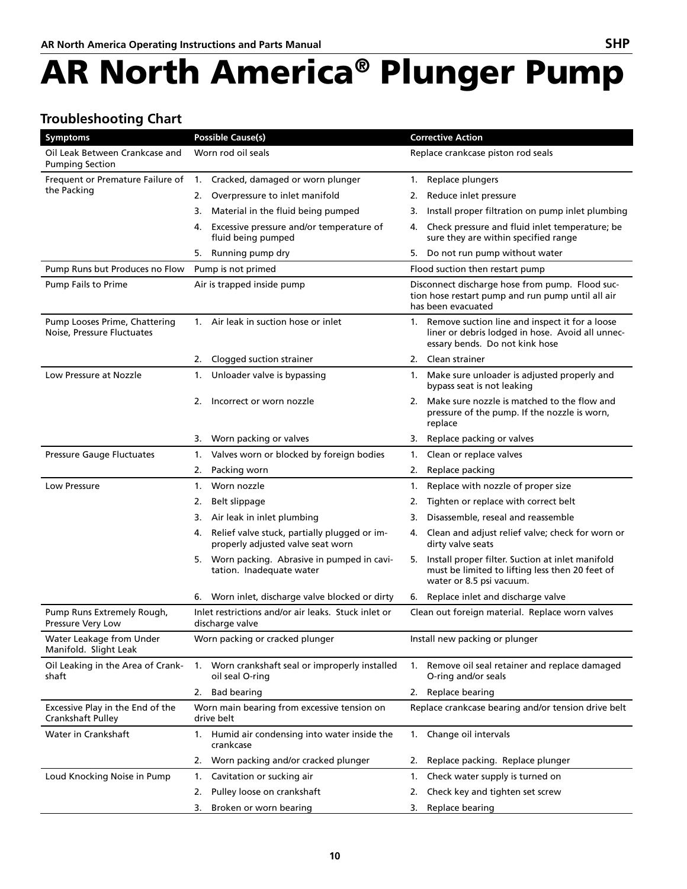# AR North America® Plunger Pump

#### **Troubleshooting Chart**

| <b>Symptoms</b>                                             | <b>Possible Cause(s)</b>                                                                | <b>Corrective Action</b>                                                                                                                |
|-------------------------------------------------------------|-----------------------------------------------------------------------------------------|-----------------------------------------------------------------------------------------------------------------------------------------|
| Oil Leak Between Crankcase and<br><b>Pumping Section</b>    | Worn rod oil seals                                                                      | Replace crankcase piston rod seals                                                                                                      |
| Frequent or Premature Failure of                            | Cracked, damaged or worn plunger<br>1.                                                  | Replace plungers<br>1.                                                                                                                  |
| the Packing                                                 | 2.<br>Overpressure to inlet manifold                                                    | Reduce inlet pressure<br>2.                                                                                                             |
|                                                             | Material in the fluid being pumped<br>3.                                                | Install proper filtration on pump inlet plumbing<br>3.                                                                                  |
|                                                             | Excessive pressure and/or temperature of<br>4.<br>fluid being pumped                    | Check pressure and fluid inlet temperature; be<br>4.<br>sure they are within specified range                                            |
|                                                             | Running pump dry<br>5.                                                                  | Do not run pump without water<br>5.                                                                                                     |
| Pump Runs but Produces no Flow                              | Pump is not primed                                                                      | Flood suction then restart pump                                                                                                         |
| <b>Pump Fails to Prime</b>                                  | Air is trapped inside pump                                                              | Disconnect discharge hose from pump. Flood suc-<br>tion hose restart pump and run pump until all air<br>has been evacuated              |
| Pump Looses Prime, Chattering<br>Noise, Pressure Fluctuates | 1. Air leak in suction hose or inlet                                                    | 1. Remove suction line and inspect it for a loose<br>liner or debris lodged in hose. Avoid all unnec-<br>essary bends. Do not kink hose |
|                                                             | Clogged suction strainer<br>2.                                                          | Clean strainer<br>2.                                                                                                                    |
| Low Pressure at Nozzle                                      | Unloader valve is bypassing<br>1.                                                       | Make sure unloader is adjusted properly and<br>1.<br>bypass seat is not leaking                                                         |
|                                                             | 2.<br>Incorrect or worn nozzle                                                          | Make sure nozzle is matched to the flow and<br>2.<br>pressure of the pump. If the nozzle is worn,<br>replace                            |
|                                                             | Worn packing or valves<br>3.                                                            | Replace packing or valves<br>3.                                                                                                         |
| <b>Pressure Gauge Fluctuates</b>                            | Valves worn or blocked by foreign bodies<br>1.                                          | Clean or replace valves<br>1.                                                                                                           |
|                                                             | 2.<br>Packing worn                                                                      | Replace packing<br>2.                                                                                                                   |
| Low Pressure                                                | Worn nozzle<br>1.                                                                       | Replace with nozzle of proper size<br>1.                                                                                                |
|                                                             | Belt slippage<br>2.                                                                     | Tighten or replace with correct belt<br>2.                                                                                              |
|                                                             | Air leak in inlet plumbing<br>3.                                                        | Disassemble, reseal and reassemble<br>3.                                                                                                |
|                                                             | Relief valve stuck, partially plugged or im-<br>4.<br>properly adjusted valve seat worn | 4. Clean and adjust relief valve; check for worn or<br>dirty valve seats                                                                |
|                                                             | Worn packing. Abrasive in pumped in cavi-<br>5.<br>tation. Inadequate water             | Install proper filter. Suction at inlet manifold<br>5.<br>must be limited to lifting less then 20 feet of<br>water or 8.5 psi vacuum.   |
|                                                             | Worn inlet, discharge valve blocked or dirty<br>6.                                      | Replace inlet and discharge valve<br>6.                                                                                                 |
| Pump Runs Extremely Rough,<br>Pressure Very Low             | Inlet restrictions and/or air leaks. Stuck inlet or<br>discharge valve                  | Clean out foreign material. Replace worn valves                                                                                         |
| Water Leakage from Under<br>Manifold. Slight Leak           | Worn packing or cracked plunger                                                         | Install new packing or plunger                                                                                                          |
| Oil Leaking in the Area of Crank-<br>shaft                  | Worn crankshaft seal or improperly installed<br>1.<br>oil seal O-ring                   | Remove oil seal retainer and replace damaged<br>1.<br>O-ring and/or seals                                                               |
|                                                             | <b>Bad bearing</b><br>2.                                                                | Replace bearing<br>2.                                                                                                                   |
| Excessive Play in the End of the<br>Crankshaft Pulley       | Worn main bearing from excessive tension on<br>drive belt                               | Replace crankcase bearing and/or tension drive belt                                                                                     |
| Water in Crankshaft                                         | 1. Humid air condensing into water inside the<br>crankcase                              | 1. Change oil intervals                                                                                                                 |
|                                                             | Worn packing and/or cracked plunger<br>2.                                               | Replace packing. Replace plunger<br>2.                                                                                                  |
| Loud Knocking Noise in Pump                                 | Cavitation or sucking air<br>1.                                                         | Check water supply is turned on<br>1.                                                                                                   |
|                                                             | Pulley loose on crankshaft<br>2.                                                        | Check key and tighten set screw<br>2.                                                                                                   |
|                                                             | Broken or worn bearing<br>3.                                                            | Replace bearing<br>3.                                                                                                                   |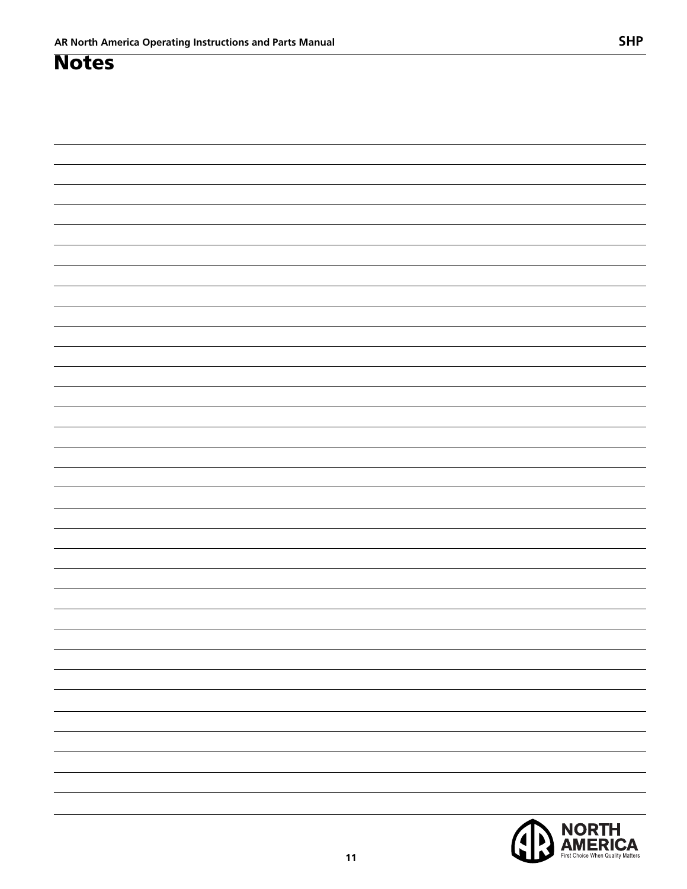### **Notes**